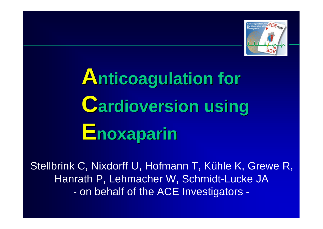

# **Anticoagulation for Cardioversion using Enoxaparin**

Stellbrink C, Nixdorff U, Hofmann T, Kühle K, Grewe R, Hanrath P, Lehmacher W, Schmidt-Lucke JA - on behalf of the ACE Investigators -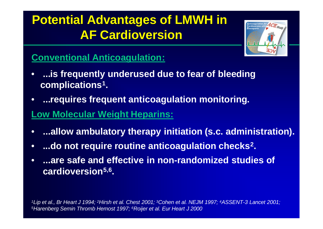### **Potential Advantages of LMWH in AF Cardioversion**



### **Conventional Anticoagulation:**

- • **...is frequently underused due to fear of bleeding complications<sup>1</sup> .**
- • **...requires frequent anticoagulation monitoring.**

#### **Low Molecular Weight Heparins:**

- **...allow ambulatory therapy initiation (s.c. administration).**
- **...do not require routine anticoagulation checks<sup>2</sup> .**
- **...are safe and effective in non-randomized studies of cardioversion5,6 .**

*<sup>1</sup>Lip et al., Br Heart J 1994; 2Hirsh et al. Chest 2001; 3Cohen et al. NEJM 1997; 4ASSENT-3 Lancet 2001; <sup>5</sup>Harenberg Semin Thromb Hemost 1997; 6Roijer et al. Eur Heart J 2000*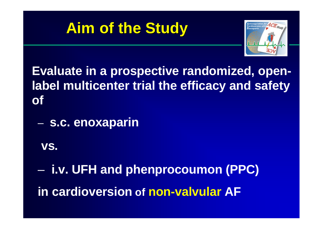



**Evaluate in a prospective randomized, openlabel multicenter trial the efficacy and safety of**

– **s.c. enoxaparin**

 **vs.**

– **i.v. UFH and phenprocoumon (PPC) in cardioversion of non-valvular AF**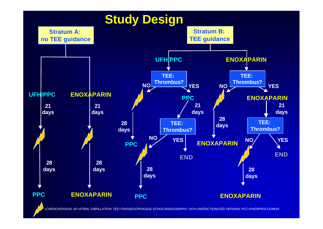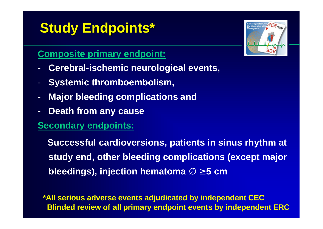## **Study Endpoints\***

#### **Composite primary endpoint:**

- **Cerebral-ischemic neurological events,**
- **Systemic thromboembolism,**
- **Major bleeding complications and**
- **Death from any cause**

#### **Secondary endpoints:**

 **Successful cardioversions, patients in sinus rhythm at study end, other bleeding complications (except major bleedings), injection hematoma Æ ³ 5 cm**

**\*All serious adverse events adjudicated by independent CEC Blinded review of all primary endpoint events by independent ERC**

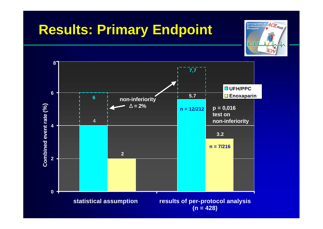### **Results: Primary Endpoint**



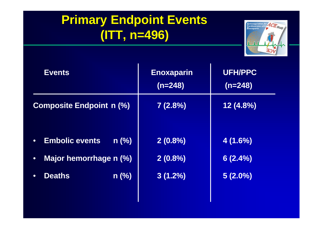### **Primary Endpoint Events (ITT, n=496)**



| <b>Events</b>                                              | <b>Enoxaparin</b><br>$(n=248)$ | <b>UFH/PPC</b><br>$(n=248)$ |
|------------------------------------------------------------|--------------------------------|-----------------------------|
| <b>Composite Endpoint n (%)</b>                            | 7(2.8%)                        | $12(4.8\%)$                 |
| $n$ (%)<br><b>Embolic events</b><br>Major hemorrhage n (%) | $2(0.8\%)$<br>$2(0.8\%)$       | 4(1.6%)<br>6(2.4%)          |
| $n$ (%)<br><b>Deaths</b>                                   | $3(1.2\%)$                     | $5(2.0\%)$                  |